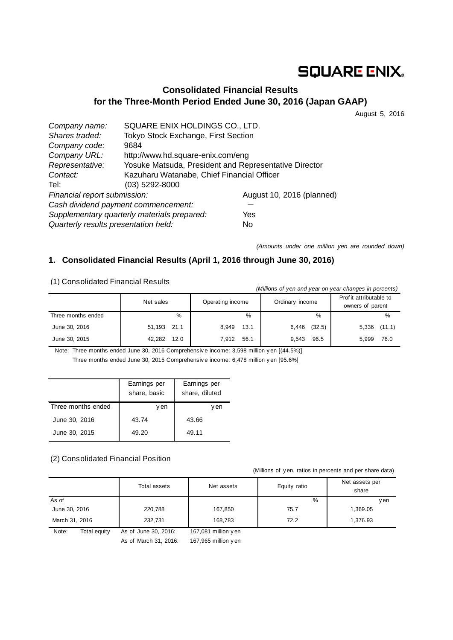# **SQUARE ENIX.**

# **Consolidated Financial Results for the Three-Month Period Ended June 30, 2016 (Japan GAAP)**

August 5, 2016

| Company name:                               | SQUARE ENIX HOLDINGS CO., LTD.                        |                           |  |
|---------------------------------------------|-------------------------------------------------------|---------------------------|--|
| Shares traded:                              | Tokyo Stock Exchange, First Section                   |                           |  |
| Company code:                               | 9684                                                  |                           |  |
| Company URL:                                | http://www.hd.square-enix.com/eng                     |                           |  |
| Representative:                             | Yosuke Matsuda, President and Representative Director |                           |  |
| Contact:                                    | Kazuharu Watanabe, Chief Financial Officer            |                           |  |
| Tel:                                        | $(03)$ 5292-8000                                      |                           |  |
| Financial report submission:                |                                                       | August 10, 2016 (planned) |  |
|                                             | Cash dividend payment commencement:                   |                           |  |
| Supplementary quarterly materials prepared: | Yes                                                   |                           |  |
| Quarterly results presentation held:        |                                                       | No                        |  |

*(Amounts under one million yen are rounded down)*

### **1. Consolidated Financial Results (April 1, 2016 through June 30, 2016)**

(1) Consolidated Financial Results

| 117 Conoonaatoa Finanoiar Rooano<br>(Millions of yen and year-on-year changes in percents) |                |                  |                 |                                             |  |  |
|--------------------------------------------------------------------------------------------|----------------|------------------|-----------------|---------------------------------------------|--|--|
|                                                                                            | Net sales      | Operating income | Ordinary income | Prof it attributable to<br>owners of parent |  |  |
| Three months ended                                                                         | %              | %                | %               | %                                           |  |  |
| June 30, 2016                                                                              | 51,193<br>21.1 | 13.1<br>8.949    | (32.5)<br>6,446 | $5,336$ $(11.1)$                            |  |  |
| June 30, 2015                                                                              | 42.282<br>12.0 | 56.1<br>7.912    | 9.543<br>96.5   | 76.0<br>5.999                               |  |  |

Note: Three months ended June 30, 2016 Comprehensiv e income: 3,598 million y en [(44.5%)] Three months ended June 30, 2015 Comprehensiv e income: 6,478 million y en [95.6%]

|                    | Earnings per<br>share, basic | Earnings per<br>share, diluted |
|--------------------|------------------------------|--------------------------------|
| Three months ended | v en                         | en                             |
| June 30, 2016      | 43.74                        | 43.66                          |
| June 30, 2015      | 49.20                        | 49.11                          |

#### (2) Consolidated Financial Position

(Millions of y en, ratios in percents and per share data)

|                       | Total assets         | Net assets           | Equity ratio | Net assets per<br>share |
|-----------------------|----------------------|----------------------|--------------|-------------------------|
| As of                 |                      |                      | %            | y en                    |
| June 30, 2016         | 220,788              | 167,850              | 75.7         | 1,369.05                |
| March 31, 2016        | 232.731              | 168,783              | 72.2         | 1,376.93                |
| Note:<br>Total equity | As of June 30, 2016: | 167,081 million y en |              |                         |

As of March 31, 2016: 167,965 million y en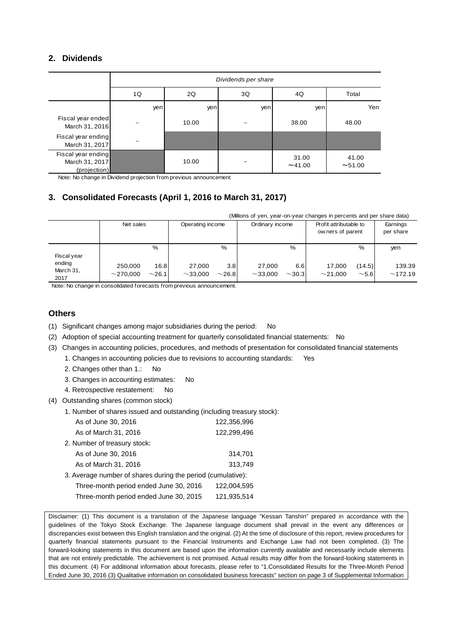### **2. Dividends**

|                                                      | Dividends per share |                         |     |               |                |  |  |
|------------------------------------------------------|---------------------|-------------------------|-----|---------------|----------------|--|--|
|                                                      | 1Q                  | Total<br>2Q<br>3Q<br>4Q |     |               |                |  |  |
|                                                      | yen                 | yen                     | yen | yen           | Yen            |  |  |
| Fiscal year ended<br>March 31, 2016                  |                     | 10.00                   |     | 38.00         | 48.00          |  |  |
| Fiscal year ending<br>March 31, 2017                 |                     |                         |     |               |                |  |  |
| Fiscal year ending<br>March 31, 2017<br>(projection) |                     | 10.00                   |     | 31.00<br>~100 | 41.00<br>~1.00 |  |  |

Note: No change in Dividend projection from previous announcement

### **3. Consolidated Forecasts (April 1, 2016 to March 31, 2017)**

|                             | (Millions of yen, year-on-year changes in percents and per share data) |                     |                         |                    |                         |                    |                 |                                            |                   |
|-----------------------------|------------------------------------------------------------------------|---------------------|-------------------------|--------------------|-------------------------|--------------------|-----------------|--------------------------------------------|-------------------|
|                             | Net sales                                                              |                     | Operating income        |                    |                         | Ordinary income    |                 | Profit attributable to<br>owners of parent |                   |
| Fiscal year                 |                                                                        | %                   |                         | %                  |                         | %                  |                 | %                                          | yen               |
| ending<br>March 31,<br>2017 | 250,000<br>$\sim$ 270.000                                              | 16.8<br>$\sim$ 26.1 | 27.000<br>$\sim$ 33.000 | 3.8<br>$\sim$ 26.8 | 27.000<br>$\sim$ 33.000 | 6.6<br>$\sim$ 30.3 | 17.000<br>~1000 | (14.5)<br>$\sim$ 5.6                       | 139.39<br>~172.19 |

Note: No change in consolidated forecasts from previous announcement.

### **Others**

- (1) Significant changes among major subsidiaries during the period: No
- (2) Adoption of special accounting treatment for quarterly consolidated financial statements: No
- (3) Changes in accounting policies, procedures, and methods of presentation for consolidated financial statements
	- 1. Changes in accounting policies due to revisions to accounting standards: Yes
	- 2. Changes other than 1.: No
	- 3. Changes in accounting estimates: No
	- 4. Retrospective restatement: No
- (4) Outstanding shares (common stock)
	- 1. Number of shares issued and outstanding (including treasury stock):

| As of June 30, 2016                                         | 122,356,996 |
|-------------------------------------------------------------|-------------|
| As of March 31, 2016                                        | 122,299,496 |
| 2. Number of treasury stock:                                |             |
| As of June 30, 2016                                         | 314,701     |
| As of March 31, 2016                                        | 313,749     |
| 3. Average number of shares during the period (cumulative): |             |
| Three-month period ended June 30, 2016                      | 122,004,595 |
| Three-month period ended June 30, 2015                      | 121,935,514 |

Disclaimer: (1) This document is a translation of the Japanese language "Kessan Tanshin" prepared in accordance with the guidelines of the Tokyo Stock Exchange. The Japanese language document shall prevail in the event any differences or discrepancies exist between this English translation and the original. (2) At the time of disclosure of this report, review procedures for quarterly financial statements pursuant to the Financial Instruments and Exchange Law had not been completed. (3) The forward-looking statements in this document are based upon the information currently available and necessarily include elements that are not entirely predictable. The achievement is not promised. Actual results may differ from the forward-looking statements in this document. (4) For additional information about forecasts, please refer to "1.Consolidated Results for the Three-Month Period Ended June 30, 2016 (3) Qualitative information on consolidated business forecasts" section on page 3 of Supplemental Information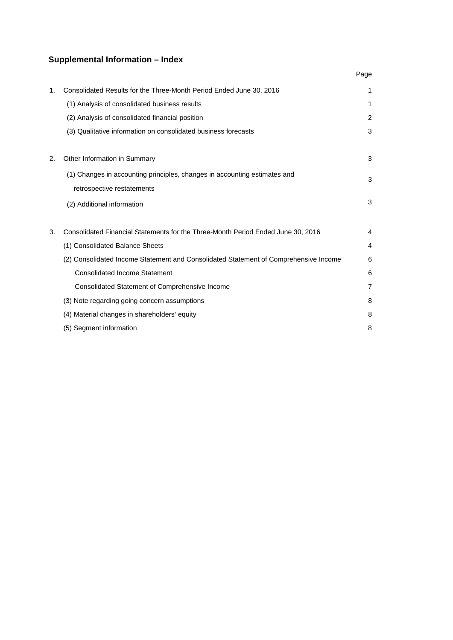# **Supplemental Information – Index**

|    |                                                                                      | Page           |
|----|--------------------------------------------------------------------------------------|----------------|
| 1. | Consolidated Results for the Three-Month Period Ended June 30, 2016                  | 1              |
|    | (1) Analysis of consolidated business results                                        | 1              |
|    | (2) Analysis of consolidated financial position                                      | 2              |
|    | (3) Qualitative information on consolidated business forecasts                       | 3              |
|    |                                                                                      |                |
| 2. | Other Information in Summary                                                         | 3              |
|    | (1) Changes in accounting principles, changes in accounting estimates and            | 3              |
|    | retrospective restatements                                                           |                |
|    | (2) Additional information                                                           | 3              |
|    |                                                                                      |                |
| 3. | Consolidated Financial Statements for the Three-Month Period Ended June 30, 2016     | 4              |
|    | (1) Consolidated Balance Sheets                                                      | 4              |
|    | (2) Consolidated Income Statement and Consolidated Statement of Comprehensive Income | 6              |
|    | <b>Consolidated Income Statement</b>                                                 | 6              |
|    | Consolidated Statement of Comprehensive Income                                       | $\overline{7}$ |
|    | (3) Note regarding going concern assumptions                                         | 8              |
|    | (4) Material changes in shareholders' equity                                         | 8              |
|    | (5) Segment information                                                              | 8              |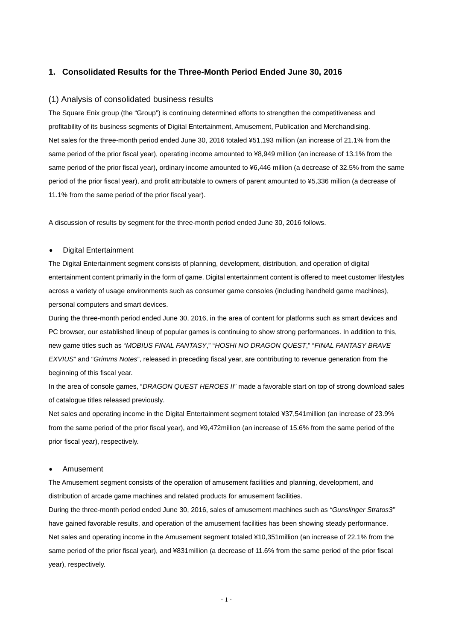#### **1. Consolidated Results for the Three-Month Period Ended June 30, 2016**

#### (1) Analysis of consolidated business results

The Square Enix group (the "Group") is continuing determined efforts to strengthen the competitiveness and profitability of its business segments of Digital Entertainment, Amusement, Publication and Merchandising. Net sales for the three-month period ended June 30, 2016 totaled ¥51,193 million (an increase of 21.1% from the same period of the prior fiscal year), operating income amounted to ¥8,949 million (an increase of 13.1% from the same period of the prior fiscal year), ordinary income amounted to ¥6,446 million (a decrease of 32.5% from the same period of the prior fiscal year), and profit attributable to owners of parent amounted to ¥5,336 million (a decrease of 11.1% from the same period of the prior fiscal year).

A discussion of results by segment for the three-month period ended June 30, 2016 follows.

#### • Digital Entertainment

The Digital Entertainment segment consists of planning, development, distribution, and operation of digital entertainment content primarily in the form of game. Digital entertainment content is offered to meet customer lifestyles across a variety of usage environments such as consumer game consoles (including handheld game machines), personal computers and smart devices.

During the three-month period ended June 30, 2016, in the area of content for platforms such as smart devices and PC browser, our established lineup of popular games is continuing to show strong performances. In addition to this, new game titles such as "*MOBIUS FINAL FANTASY*," "*HOSHI NO DRAGON QUEST*," "*FINAL FANTASY BRAVE EXVIUS*" and "*Grimms Notes*", released in preceding fiscal year, are contributing to revenue generation from the beginning of this fiscal year.

In the area of console games, "*DRAGON QUEST HEROES II*" made a favorable start on top of strong download sales of catalogue titles released previously.

Net sales and operating income in the Digital Entertainment segment totaled ¥37,541million (an increase of 23.9% from the same period of the prior fiscal year), and ¥9,472million (an increase of 15.6% from the same period of the prior fiscal year), respectively.

#### • Amusement

The Amusement segment consists of the operation of amusement facilities and planning, development, and distribution of arcade game machines and related products for amusement facilities.

During the three-month period ended June 30, 2016, sales of amusement machines such as *"Gunslinger Stratos3"* have gained favorable results, and operation of the amusement facilities has been showing steady performance. Net sales and operating income in the Amusement segment totaled ¥10,351million (an increase of 22.1% from the same period of the prior fiscal year), and ¥831million (a decrease of 11.6% from the same period of the prior fiscal year), respectively.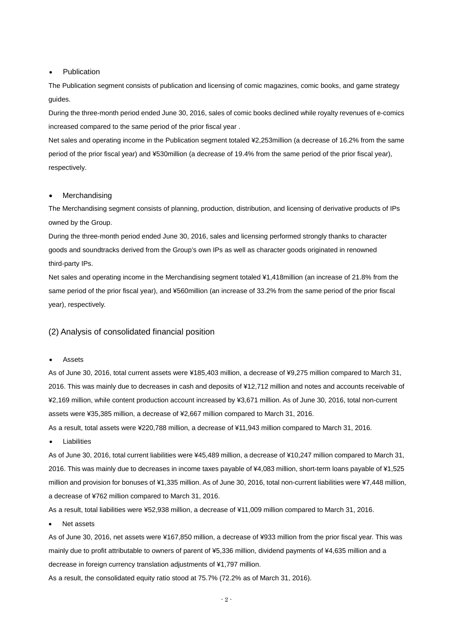#### **Publication**

The Publication segment consists of publication and licensing of comic magazines, comic books, and game strategy guides.

During the three-month period ended June 30, 2016, sales of comic books declined while royalty revenues of e-comics increased compared to the same period of the prior fiscal year .

Net sales and operating income in the Publication segment totaled ¥2,253million (a decrease of 16.2% from the same period of the prior fiscal year) and ¥530million (a decrease of 19.4% from the same period of the prior fiscal year), respectively.

#### **Merchandising**

The Merchandising segment consists of planning, production, distribution, and licensing of derivative products of IPs owned by the Group.

During the three-month period ended June 30, 2016, sales and licensing performed strongly thanks to character goods and soundtracks derived from the Group's own IPs as well as character goods originated in renowned third-party IPs.

Net sales and operating income in the Merchandising segment totaled ¥1,418million (an increase of 21.8% from the same period of the prior fiscal year), and ¥560million (an increase of 33.2% from the same period of the prior fiscal year), respectively.

#### (2) Analysis of consolidated financial position

#### • Assets

As of June 30, 2016, total current assets were ¥185,403 million, a decrease of ¥9,275 million compared to March 31, 2016. This was mainly due to decreases in cash and deposits of ¥12,712 million and notes and accounts receivable of ¥2,169 million, while content production account increased by ¥3,671 million. As of June 30, 2016, total non-current assets were ¥35,385 million, a decrease of ¥2,667 million compared to March 31, 2016.

As a result, total assets were ¥220,788 million, a decrease of ¥11,943 million compared to March 31, 2016.

**Liabilities** 

As of June 30, 2016, total current liabilities were ¥45,489 million, a decrease of ¥10,247 million compared to March 31, 2016. This was mainly due to decreases in income taxes payable of ¥4,083 million, short-term loans payable of ¥1,525 million and provision for bonuses of ¥1,335 million. As of June 30, 2016, total non-current liabilities were ¥7,448 million, a decrease of ¥762 million compared to March 31, 2016.

As a result, total liabilities were ¥52,938 million, a decrease of ¥11,009 million compared to March 31, 2016.

Net assets

As of June 30, 2016, net assets were ¥167,850 million, a decrease of ¥933 million from the prior fiscal year. This was mainly due to profit attributable to owners of parent of ¥5,336 million, dividend payments of ¥4,635 million and a decrease in foreign currency translation adjustments of ¥1,797 million.

As a result, the consolidated equity ratio stood at 75.7% (72.2% as of March 31, 2016).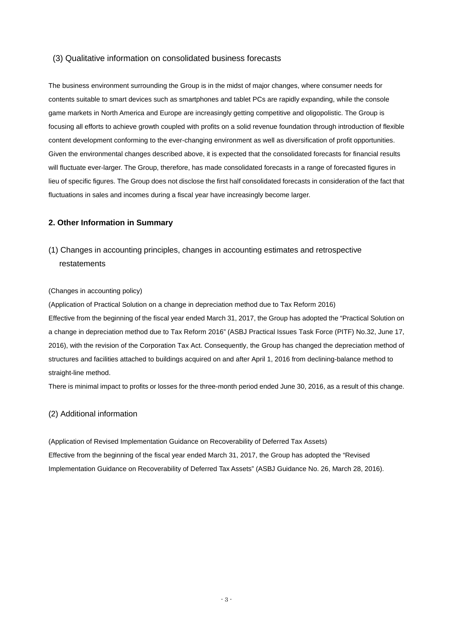#### (3) Qualitative information on consolidated business forecasts

The business environment surrounding the Group is in the midst of major changes, where consumer needs for contents suitable to smart devices such as smartphones and tablet PCs are rapidly expanding, while the console game markets in North America and Europe are increasingly getting competitive and oligopolistic. The Group is focusing all efforts to achieve growth coupled with profits on a solid revenue foundation through introduction of flexible content development conforming to the ever-changing environment as well as diversification of profit opportunities. Given the environmental changes described above, it is expected that the consolidated forecasts for financial results will fluctuate ever-larger. The Group, therefore, has made consolidated forecasts in a range of forecasted figures in lieu of specific figures. The Group does not disclose the first half consolidated forecasts in consideration of the fact that fluctuations in sales and incomes during a fiscal year have increasingly become larger.

#### **2. Other Information in Summary**

# (1) Changes in accounting principles, changes in accounting estimates and retrospective restatements

#### (Changes in accounting policy)

(Application of Practical Solution on a change in depreciation method due to Tax Reform 2016) Effective from the beginning of the fiscal year ended March 31, 2017, the Group has adopted the "Practical Solution on a change in depreciation method due to Tax Reform 2016" (ASBJ Practical Issues Task Force (PITF) No.32, June 17, 2016), with the revision of the Corporation Tax Act. Consequently, the Group has changed the depreciation method of structures and facilities attached to buildings acquired on and after April 1, 2016 from declining-balance method to straight-line method.

There is minimal impact to profits or losses for the three-month period ended June 30, 2016, as a result of this change.

#### (2) Additional information

(Application of Revised Implementation Guidance on Recoverability of Deferred Tax Assets) Effective from the beginning of the fiscal year ended March 31, 2017, the Group has adopted the "Revised Implementation Guidance on Recoverability of Deferred Tax Assets" (ASBJ Guidance No. 26, March 28, 2016).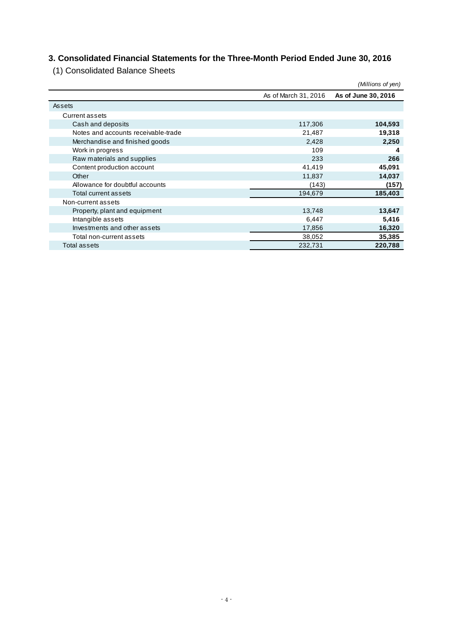# **3. Consolidated Financial Statements for the Three-Month Period Ended June 30, 2016**

(1) Consolidated Balance Sheets

|                                     |                      | (Millions of yen)   |
|-------------------------------------|----------------------|---------------------|
|                                     | As of March 31, 2016 | As of June 30, 2016 |
| Assets                              |                      |                     |
| <b>Current assets</b>               |                      |                     |
| Cash and deposits                   | 117,306              | 104,593             |
| Notes and accounts receivable-trade | 21,487               | 19,318              |
| Merchandise and finished goods      | 2,428                | 2,250               |
| Work in progress                    | 109                  | 4                   |
| Raw materials and supplies          | 233                  | 266                 |
| Content production account          | 41,419               | 45,091              |
| Other                               | 11,837               | 14,037              |
| Allowance for doubtful accounts     | (143)                | (157)               |
| Total current assets                | 194,679              | 185,403             |
| Non-current assets                  |                      |                     |
| Property, plant and equipment       | 13,748               | 13,647              |
| Intangible assets                   | 6,447                | 5,416               |
| Investments and other assets        | 17,856               | 16,320              |
| Total non-current assets            | 38,052               | 35,385              |
| Total assets                        | 232,731              | 220,788             |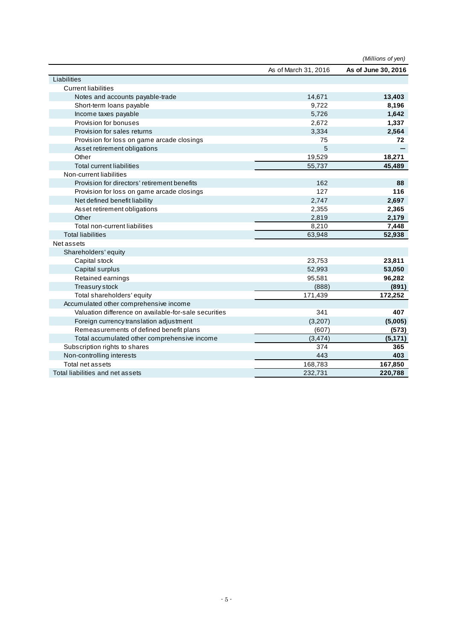|                                                       |                      | (Millions of yen)   |
|-------------------------------------------------------|----------------------|---------------------|
|                                                       | As of March 31, 2016 | As of June 30, 2016 |
| Liabilities                                           |                      |                     |
| <b>Current liabilities</b>                            |                      |                     |
| Notes and accounts payable-trade                      | 14,671               | 13,403              |
| Short-term loans payable                              | 9,722                | 8,196               |
| Income taxes payable                                  | 5,726                | 1,642               |
| Provision for bonuses                                 | 2,672                | 1,337               |
| Provision for sales returns                           | 3,334                | 2,564               |
| Provision for loss on game arcade closings            | 75                   | 72                  |
| Asset retirement obligations                          | 5                    |                     |
| Other                                                 | 19,529               | 18,271              |
| <b>Total current liabilities</b>                      | 55,737               | 45,489              |
| Non-current liabilities                               |                      |                     |
| Provision for directors' retirement benefits          | 162                  | 88                  |
| Provision for loss on game arcade closings            | 127                  | 116                 |
| Net defined benefit liability                         | 2,747                | 2,697               |
| Asset retirement obligations                          | 2,355                | 2,365               |
| Other                                                 | 2,819                | 2,179               |
| Total non-current liabilities                         | 8.210                | 7,448               |
| <b>Total liabilities</b>                              | 63,948               | 52,938              |
| Net assets                                            |                      |                     |
| Shareholders' equity                                  |                      |                     |
| Capital stock                                         | 23,753               | 23,811              |
| Capital surplus                                       | 52,993               | 53,050              |
| Retained earnings                                     | 95,581               | 96,282              |
| Treasury stock                                        | (888)                | (891)               |
| Total shareholders' equity                            | 171,439              | 172,252             |
| Accumulated other comprehensive income                |                      |                     |
| Valuation difference on available-for-sale securities | 341                  | 407                 |
| Foreign currency translation adjustment               | (3,207)              | (5,005)             |
| Remeasurements of defined benefit plans               | (607)                | (573)               |
| Total accumulated other comprehensive income          | (3, 474)             | (5, 171)            |
| Subscription rights to shares                         | 374                  | 365                 |
| Non-controlling interests                             | 443                  | 403                 |
| Total net assets                                      | 168,783              | 167,850             |
| Total liabilities and net assets                      | 232,731              | 220,788             |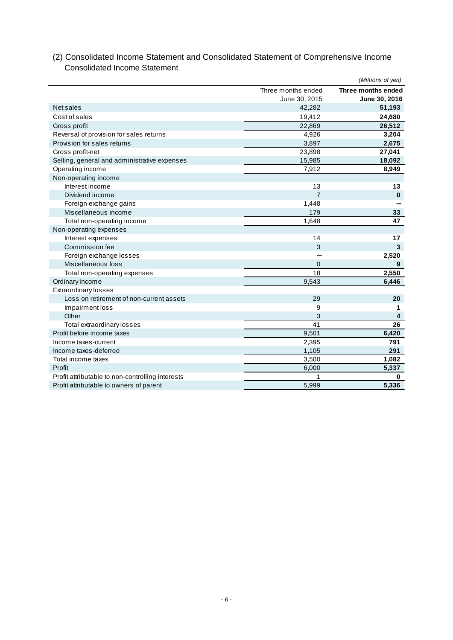|                                                  |                    | (Millions of yen)  |
|--------------------------------------------------|--------------------|--------------------|
|                                                  | Three months ended | Three months ended |
|                                                  | June 30, 2015      | June 30, 2016      |
| Net sales                                        | 42,282             | 51,193             |
| Cost of sales                                    | 19,412             | 24,680             |
| Gross profit                                     | 22,869             | 26,512             |
| Reversal of provision for sales returns          | 4,926              | 3,204              |
| Provision for sales returns                      | 3,897              | 2,675              |
| Gross profit-net                                 | 23,898             | 27,041             |
| Selling, general and administrative expenses     | 15,985             | 18,092             |
| Operating income                                 | 7,912              | 8,949              |
| Non-operating income                             |                    |                    |
| Interest income                                  | 13                 | 13                 |
| Dividend income                                  | $\overline{7}$     | $\mathbf 0$        |
| Foreign exchange gains                           | 1,448              |                    |
| Miscellaneous income                             | 179                | 33                 |
| Total non-operating income                       | 1,648              | 47                 |
| Non-operating expenses                           |                    |                    |
| Interest expenses                                | 14                 | 17                 |
| Commission fee                                   | 3                  | 3                  |
| Foreign exchange losses                          |                    | 2,520              |
| Miscellaneous loss                               | $\overline{0}$     | 9                  |
| Total non-operating expenses                     | 18                 | 2,550              |
| Ordinary income                                  | 9,543              | 6,446              |
| Extraordinary losses                             |                    |                    |
| Loss on retirement of non-current assets         | 29                 | 20                 |
| Impairment loss                                  | 9                  | 1                  |
| Other                                            | 3                  | $\overline{4}$     |
| Total extraordinary losses                       | 41                 | 26                 |
| Profit before income taxes                       | 9,501              | 6,420              |
| Income taxes-current                             | 2,395              | 791                |
| Income taxes-deferred                            | 1,105              | 291                |
| Total income taxes                               | 3,500              | 1,082              |
| Profit                                           | 6,000              | 5,337              |
| Profit attributable to non-controlling interests | 1                  | $\mathbf 0$        |
| Profit attributable to owners of parent          | 5,999              | 5,336              |

### (2) Consolidated Income Statement and Consolidated Statement of Comprehensive Income Consolidated Income Statement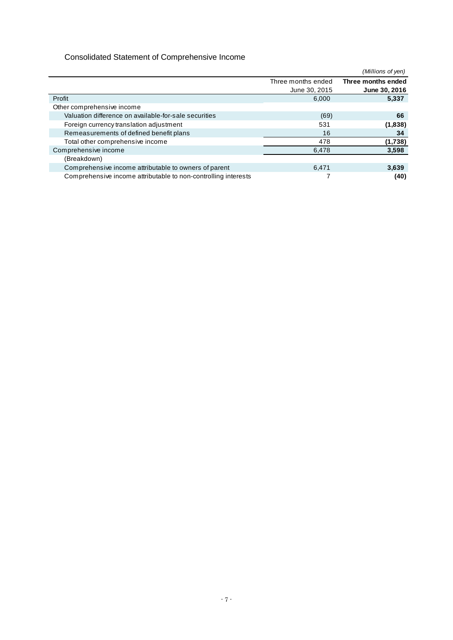# Consolidated Statement of Comprehensive Income

|                                                                |                    | (Millions of yen)  |
|----------------------------------------------------------------|--------------------|--------------------|
|                                                                | Three months ended | Three months ended |
|                                                                | June 30, 2015      | June 30, 2016      |
| Profit                                                         | 6.000              | 5,337              |
| Other comprehensive income                                     |                    |                    |
| Valuation difference on available-for-sale securities          | (69)               | 66                 |
| Foreign currency translation adjustment                        | 531                | (1,838)            |
| Remeasurements of defined benefit plans                        | 16                 | 34                 |
| Total other comprehensive income                               | 478                | (1,738)            |
| Comprehensive income                                           | 6.478              | 3,598              |
| (Breakdown)                                                    |                    |                    |
| Comprehensive income attributable to owners of parent          | 6,471              | 3,639              |
| Comprehensive income attributable to non-controlling interests |                    | (40)               |